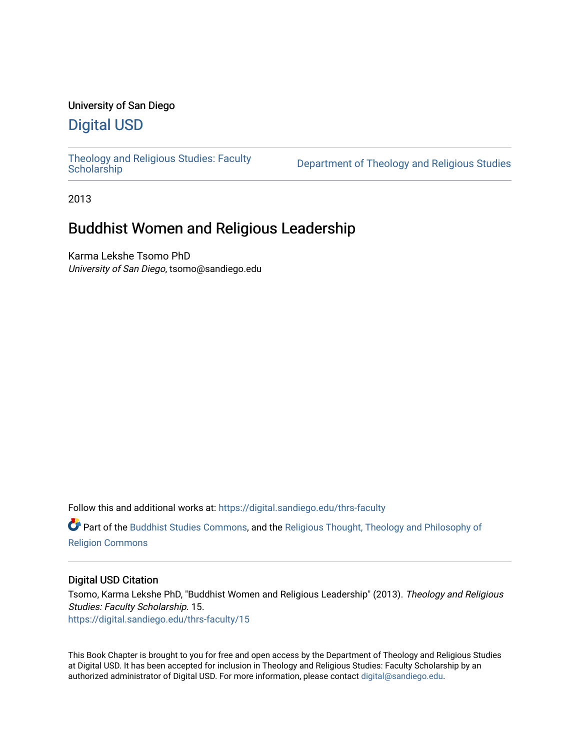## University of San Diego

## [Digital USD](https://digital.sandiego.edu/)

[Theology and Religious Studies: Faculty](https://digital.sandiego.edu/thrs-faculty)

Department of Theology and Religious Studies

2013

# Buddhist Women and Religious Leadership

Karma Lekshe Tsomo PhD University of San Diego, tsomo@sandiego.edu

Follow this and additional works at: [https://digital.sandiego.edu/thrs-faculty](https://digital.sandiego.edu/thrs-faculty?utm_source=digital.sandiego.edu%2Fthrs-faculty%2F15&utm_medium=PDF&utm_campaign=PDFCoverPages)

Part of the [Buddhist Studies Commons,](http://network.bepress.com/hgg/discipline/1344?utm_source=digital.sandiego.edu%2Fthrs-faculty%2F15&utm_medium=PDF&utm_campaign=PDFCoverPages) and the [Religious Thought, Theology and Philosophy of](http://network.bepress.com/hgg/discipline/544?utm_source=digital.sandiego.edu%2Fthrs-faculty%2F15&utm_medium=PDF&utm_campaign=PDFCoverPages)  [Religion Commons](http://network.bepress.com/hgg/discipline/544?utm_source=digital.sandiego.edu%2Fthrs-faculty%2F15&utm_medium=PDF&utm_campaign=PDFCoverPages)

## Digital USD Citation

Tsomo, Karma Lekshe PhD, "Buddhist Women and Religious Leadership" (2013). Theology and Religious Studies: Faculty Scholarship. 15. [https://digital.sandiego.edu/thrs-faculty/15](https://digital.sandiego.edu/thrs-faculty/15?utm_source=digital.sandiego.edu%2Fthrs-faculty%2F15&utm_medium=PDF&utm_campaign=PDFCoverPages) 

This Book Chapter is brought to you for free and open access by the Department of Theology and Religious Studies at Digital USD. It has been accepted for inclusion in Theology and Religious Studies: Faculty Scholarship by an authorized administrator of Digital USD. For more information, please contact [digital@sandiego.edu.](mailto:digital@sandiego.edu)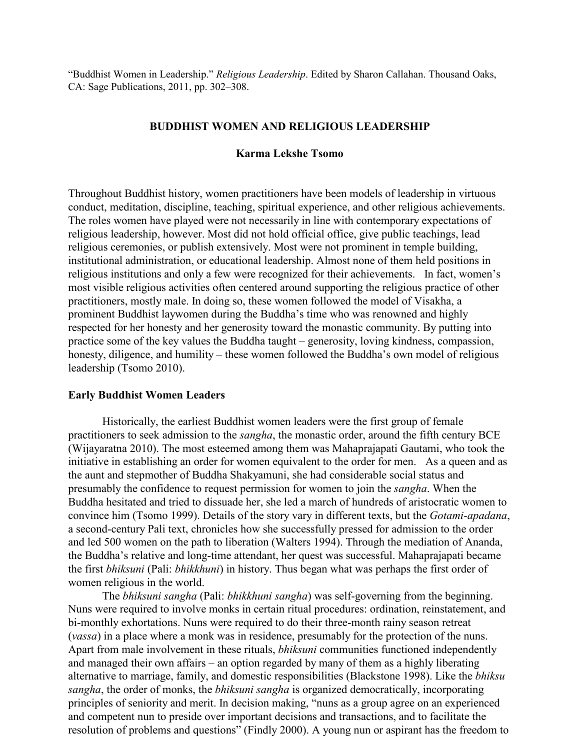"Buddhist Women in Leadership." *Religious Leadership*. Edited by Sharon Callahan. Thousand Oaks, CA: Sage Publications, 2011, pp. 302–308.

## **BUDDHIST WOMEN AND RELIGIOUS LEADERSHIP**

## **Karma Lekshe Tsomo**

Throughout Buddhist history, women practitioners have been models of leadership in virtuous conduct, meditation, discipline, teaching, spiritual experience, and other religious achievements. The roles women have played were not necessarily in line with contemporary expectations of religious leadership, however. Most did not hold official office, give public teachings, lead religious ceremonies, or publish extensively. Most were not prominent in temple building, institutional administration, or educational leadership. Almost none of them held positions in religious institutions and only a few were recognized for their achievements. In fact, women's most visible religious activities often centered around supporting the religious practice of other practitioners, mostly male. In doing so, these women followed the model of Visakha, a prominent Buddhist laywomen during the Buddha's time who was renowned and highly respected for her honesty and her generosity toward the monastic community. By putting into practice some of the key values the Buddha taught – generosity, loving kindness, compassion, honesty, diligence, and humility – these women followed the Buddha's own model of religious leadership (Tsomo 2010).

#### **Early Buddhist Women Leaders**

Historically, the earliest Buddhist women leaders were the first group of female practitioners to seek admission to the *sangha*, the monastic order, around the fifth century BCE (Wijayaratna 2010). The most esteemed among them was Mahaprajapati Gautami, who took the initiative in establishing an order for women equivalent to the order for men. As a queen and as the aunt and stepmother of Buddha Shakyamuni, she had considerable social status and presumably the confidence to request permission for women to join the *sangha*. When the Buddha hesitated and tried to dissuade her, she led a march of hundreds of aristocratic women to convince him (Tsomo 1999). Details of the story vary in different texts, but the *Gotami-apadana*, a second-century Pali text, chronicles how she successfully pressed for admission to the order and led 500 women on the path to liberation (Walters 1994). Through the mediation of Ananda, the Buddha's relative and long-time attendant, her quest was successful. Mahaprajapati became the first *bhiksuni* (Pali: *bhikkhuni*) in history. Thus began what was perhaps the first order of women religious in the world.

The *bhiksuni sangha* (Pali: *bhikkhuni sangha*) was self-governing from the beginning. Nuns were required to involve monks in certain ritual procedures: ordination, reinstatement, and bi-monthly exhortations. Nuns were required to do their three-month rainy season retreat (*vassa*) in a place where a monk was in residence, presumably for the protection of the nuns. Apart from male involvement in these rituals, *bhiksuni* communities functioned independently and managed their own affairs – an option regarded by many of them as a highly liberating alternative to marriage, family, and domestic responsibilities (Blackstone 1998). Like the *bhiksu sangha*, the order of monks, the *bhiksuni sangha* is organized democratically, incorporating principles of seniority and merit. In decision making, "nuns as a group agree on an experienced and competent nun to preside over important decisions and transactions, and to facilitate the resolution of problems and questions" (Findly 2000). A young nun or aspirant has the freedom to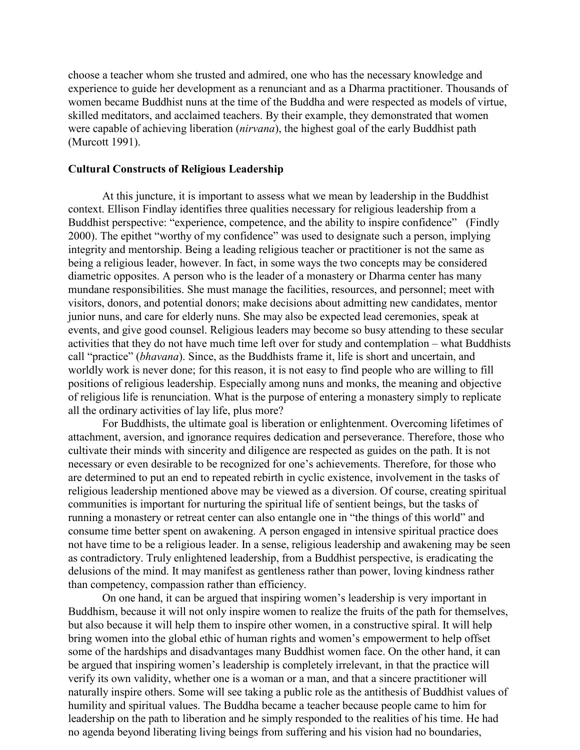choose a teacher whom she trusted and admired, one who has the necessary knowledge and experience to guide her development as a renunciant and as a Dharma practitioner. Thousands of women became Buddhist nuns at the time of the Buddha and were respected as models of virtue, skilled meditators, and acclaimed teachers. By their example, they demonstrated that women were capable of achieving liberation (*nirvana*), the highest goal of the early Buddhist path (Murcott 1991).

### **Cultural Constructs of Religious Leadership**

At this juncture, it is important to assess what we mean by leadership in the Buddhist context. Ellison Findlay identifies three qualities necessary for religious leadership from a Buddhist perspective: "experience, competence, and the ability to inspire confidence" (Findly 2000). The epithet "worthy of my confidence" was used to designate such a person, implying integrity and mentorship. Being a leading religious teacher or practitioner is not the same as being a religious leader, however. In fact, in some ways the two concepts may be considered diametric opposites. A person who is the leader of a monastery or Dharma center has many mundane responsibilities. She must manage the facilities, resources, and personnel; meet with visitors, donors, and potential donors; make decisions about admitting new candidates, mentor junior nuns, and care for elderly nuns. She may also be expected lead ceremonies, speak at events, and give good counsel. Religious leaders may become so busy attending to these secular activities that they do not have much time left over for study and contemplation – what Buddhists call "practice" (*bhavana*). Since, as the Buddhists frame it, life is short and uncertain, and worldly work is never done; for this reason, it is not easy to find people who are willing to fill positions of religious leadership. Especially among nuns and monks, the meaning and objective of religious life is renunciation. What is the purpose of entering a monastery simply to replicate all the ordinary activities of lay life, plus more?

For Buddhists, the ultimate goal is liberation or enlightenment. Overcoming lifetimes of attachment, aversion, and ignorance requires dedication and perseverance. Therefore, those who cultivate their minds with sincerity and diligence are respected as guides on the path. It is not necessary or even desirable to be recognized for one's achievements. Therefore, for those who are determined to put an end to repeated rebirth in cyclic existence, involvement in the tasks of religious leadership mentioned above may be viewed as a diversion. Of course, creating spiritual communities is important for nurturing the spiritual life of sentient beings, but the tasks of running a monastery or retreat center can also entangle one in "the things of this world" and consume time better spent on awakening. A person engaged in intensive spiritual practice does not have time to be a religious leader. In a sense, religious leadership and awakening may be seen as contradictory. Truly enlightened leadership, from a Buddhist perspective, is eradicating the delusions of the mind. It may manifest as gentleness rather than power, loving kindness rather than competency, compassion rather than efficiency.

On one hand, it can be argued that inspiring women's leadership is very important in Buddhism, because it will not only inspire women to realize the fruits of the path for themselves, but also because it will help them to inspire other women, in a constructive spiral. It will help bring women into the global ethic of human rights and women's empowerment to help offset some of the hardships and disadvantages many Buddhist women face. On the other hand, it can be argued that inspiring women's leadership is completely irrelevant, in that the practice will verify its own validity, whether one is a woman or a man, and that a sincere practitioner will naturally inspire others. Some will see taking a public role as the antithesis of Buddhist values of humility and spiritual values. The Buddha became a teacher because people came to him for leadership on the path to liberation and he simply responded to the realities of his time. He had no agenda beyond liberating living beings from suffering and his vision had no boundaries,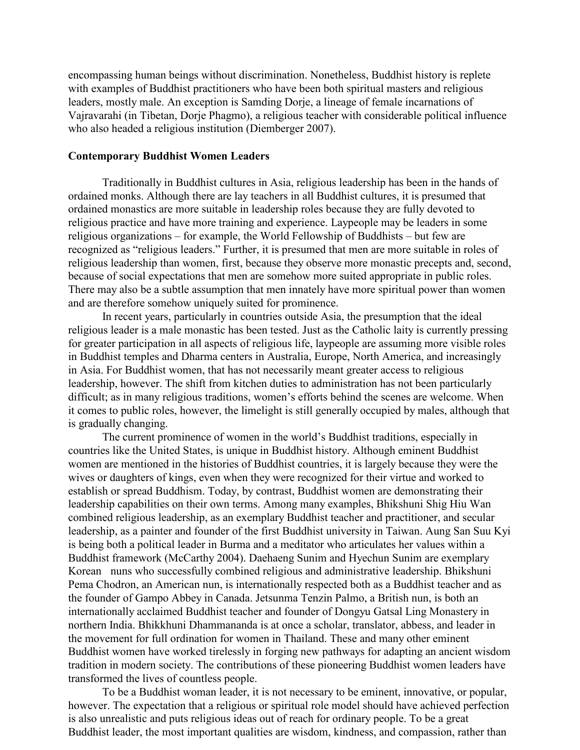encompassing human beings without discrimination. Nonetheless, Buddhist history is replete with examples of Buddhist practitioners who have been both spiritual masters and religious leaders, mostly male. An exception is Samding Dorje, a lineage of female incarnations of Vajravarahi (in Tibetan, Dorje Phagmo), a religious teacher with considerable political influence who also headed a religious institution (Diemberger 2007).

## **Contemporary Buddhist Women Leaders**

Traditionally in Buddhist cultures in Asia, religious leadership has been in the hands of ordained monks. Although there are lay teachers in all Buddhist cultures, it is presumed that ordained monastics are more suitable in leadership roles because they are fully devoted to religious practice and have more training and experience. Laypeople may be leaders in some religious organizations – for example, the World Fellowship of Buddhists – but few are recognized as "religious leaders." Further, it is presumed that men are more suitable in roles of religious leadership than women, first, because they observe more monastic precepts and, second, because of social expectations that men are somehow more suited appropriate in public roles. There may also be a subtle assumption that men innately have more spiritual power than women and are therefore somehow uniquely suited for prominence.

In recent years, particularly in countries outside Asia, the presumption that the ideal religious leader is a male monastic has been tested. Just as the Catholic laity is currently pressing for greater participation in all aspects of religious life, laypeople are assuming more visible roles in Buddhist temples and Dharma centers in Australia, Europe, North America, and increasingly in Asia. For Buddhist women, that has not necessarily meant greater access to religious leadership, however. The shift from kitchen duties to administration has not been particularly difficult; as in many religious traditions, women's efforts behind the scenes are welcome. When it comes to public roles, however, the limelight is still generally occupied by males, although that is gradually changing.

The current prominence of women in the world's Buddhist traditions, especially in countries like the United States, is unique in Buddhist history. Although eminent Buddhist women are mentioned in the histories of Buddhist countries, it is largely because they were the wives or daughters of kings, even when they were recognized for their virtue and worked to establish or spread Buddhism. Today, by contrast, Buddhist women are demonstrating their leadership capabilities on their own terms. Among many examples, Bhikshuni Shig Hiu Wan combined religious leadership, as an exemplary Buddhist teacher and practitioner, and secular leadership, as a painter and founder of the first Buddhist university in Taiwan. Aung San Suu Kyi is being both a political leader in Burma and a meditator who articulates her values within a Buddhist framework (McCarthy 2004). Daehaeng Sunim and Hyechun Sunim are exemplary Korean nuns who successfully combined religious and administrative leadership. Bhikshuni Pema Chodron, an American nun, is internationally respected both as a Buddhist teacher and as the founder of Gampo Abbey in Canada. Jetsunma Tenzin Palmo, a British nun, is both an internationally acclaimed Buddhist teacher and founder of Dongyu Gatsal Ling Monastery in northern India. Bhikkhuni Dhammananda is at once a scholar, translator, abbess, and leader in the movement for full ordination for women in Thailand. These and many other eminent Buddhist women have worked tirelessly in forging new pathways for adapting an ancient wisdom tradition in modern society. The contributions of these pioneering Buddhist women leaders have transformed the lives of countless people.

To be a Buddhist woman leader, it is not necessary to be eminent, innovative, or popular, however. The expectation that a religious or spiritual role model should have achieved perfection is also unrealistic and puts religious ideas out of reach for ordinary people. To be a great Buddhist leader, the most important qualities are wisdom, kindness, and compassion, rather than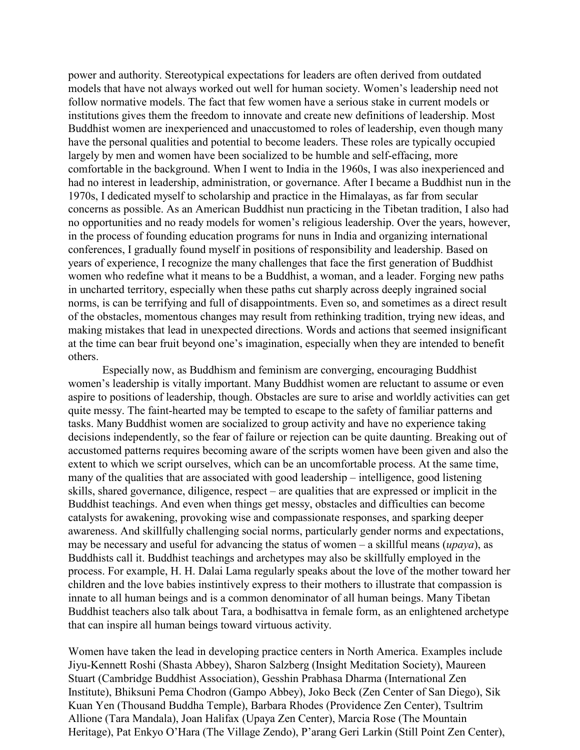power and authority. Stereotypical expectations for leaders are often derived from outdated models that have not always worked out well for human society. Women's leadership need not follow normative models. The fact that few women have a serious stake in current models or institutions gives them the freedom to innovate and create new definitions of leadership. Most Buddhist women are inexperienced and unaccustomed to roles of leadership, even though many have the personal qualities and potential to become leaders. These roles are typically occupied largely by men and women have been socialized to be humble and self-effacing, more comfortable in the background. When I went to India in the 1960s, I was also inexperienced and had no interest in leadership, administration, or governance. After I became a Buddhist nun in the 1970s, I dedicated myself to scholarship and practice in the Himalayas, as far from secular concerns as possible. As an American Buddhist nun practicing in the Tibetan tradition, I also had no opportunities and no ready models for women's religious leadership. Over the years, however, in the process of founding education programs for nuns in India and organizing international conferences, I gradually found myself in positions of responsibility and leadership. Based on years of experience, I recognize the many challenges that face the first generation of Buddhist women who redefine what it means to be a Buddhist, a woman, and a leader. Forging new paths in uncharted territory, especially when these paths cut sharply across deeply ingrained social norms, is can be terrifying and full of disappointments. Even so, and sometimes as a direct result of the obstacles, momentous changes may result from rethinking tradition, trying new ideas, and making mistakes that lead in unexpected directions. Words and actions that seemed insignificant at the time can bear fruit beyond one's imagination, especially when they are intended to benefit others.

Especially now, as Buddhism and feminism are converging, encouraging Buddhist women's leadership is vitally important. Many Buddhist women are reluctant to assume or even aspire to positions of leadership, though. Obstacles are sure to arise and worldly activities can get quite messy. The faint-hearted may be tempted to escape to the safety of familiar patterns and tasks. Many Buddhist women are socialized to group activity and have no experience taking decisions independently, so the fear of failure or rejection can be quite daunting. Breaking out of accustomed patterns requires becoming aware of the scripts women have been given and also the extent to which we script ourselves, which can be an uncomfortable process. At the same time, many of the qualities that are associated with good leadership – intelligence, good listening skills, shared governance, diligence, respect – are qualities that are expressed or implicit in the Buddhist teachings. And even when things get messy, obstacles and difficulties can become catalysts for awakening, provoking wise and compassionate responses, and sparking deeper awareness. And skillfully challenging social norms, particularly gender norms and expectations, may be necessary and useful for advancing the status of women – a skillful means (*upaya*), as Buddhists call it. Buddhist teachings and archetypes may also be skillfully employed in the process. For example, H. H. Dalai Lama regularly speaks about the love of the mother toward her children and the love babies instintively express to their mothers to illustrate that compassion is innate to all human beings and is a common denominator of all human beings. Many Tibetan Buddhist teachers also talk about Tara, a bodhisattva in female form, as an enlightened archetype that can inspire all human beings toward virtuous activity.

Women have taken the lead in developing practice centers in North America. Examples include Jiyu-Kennett Roshi (Shasta Abbey), Sharon Salzberg (Insight Meditation Society), Maureen Stuart (Cambridge Buddhist Association), Gesshin Prabhasa Dharma (International Zen Institute), Bhiksuni Pema Chodron (Gampo Abbey), Joko Beck (Zen Center of San Diego), Sik Kuan Yen (Thousand Buddha Temple), Barbara Rhodes (Providence Zen Center), Tsultrim Allione (Tara Mandala), Joan Halifax (Upaya Zen Center), Marcia Rose (The Mountain Heritage), Pat Enkyo O'Hara (The Village Zendo), P'arang Geri Larkin (Still Point Zen Center),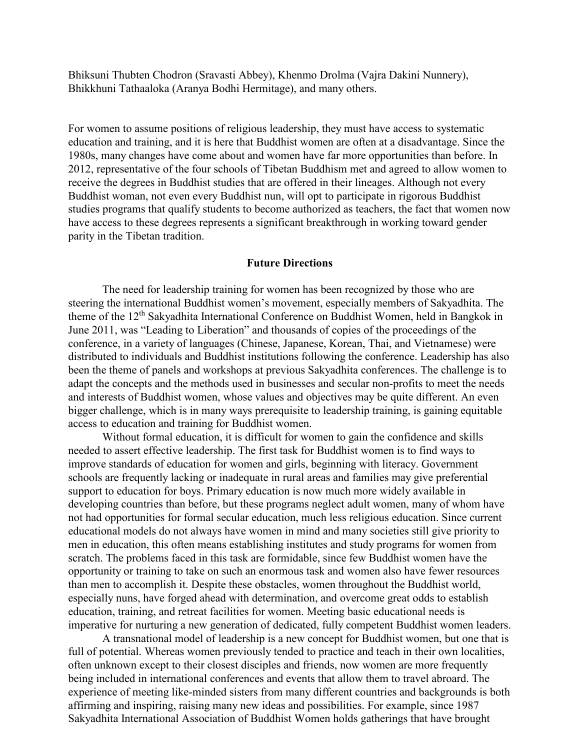Bhiksuni Thubten Chodron (Sravasti Abbey), Khenmo Drolma (Vajra Dakini Nunnery), Bhikkhuni Tathaaloka (Aranya Bodhi Hermitage), and many others.

For women to assume positions of religious leadership, they must have access to systematic education and training, and it is here that Buddhist women are often at a disadvantage. Since the 1980s, many changes have come about and women have far more opportunities than before. In 2012, representative of the four schools of Tibetan Buddhism met and agreed to allow women to receive the degrees in Buddhist studies that are offered in their lineages. Although not every Buddhist woman, not even every Buddhist nun, will opt to participate in rigorous Buddhist studies programs that qualify students to become authorized as teachers, the fact that women now have access to these degrees represents a significant breakthrough in working toward gender parity in the Tibetan tradition.

## **Future Directions**

The need for leadership training for women has been recognized by those who are steering the international Buddhist women's movement, especially members of Sakyadhita. The theme of the 12<sup>th</sup> Sakyadhita International Conference on Buddhist Women, held in Bangkok in June 2011, was "Leading to Liberation" and thousands of copies of the proceedings of the conference, in a variety of languages (Chinese, Japanese, Korean, Thai, and Vietnamese) were distributed to individuals and Buddhist institutions following the conference. Leadership has also been the theme of panels and workshops at previous Sakyadhita conferences. The challenge is to adapt the concepts and the methods used in businesses and secular non-profits to meet the needs and interests of Buddhist women, whose values and objectives may be quite different. An even bigger challenge, which is in many ways prerequisite to leadership training, is gaining equitable access to education and training for Buddhist women.

Without formal education, it is difficult for women to gain the confidence and skills needed to assert effective leadership. The first task for Buddhist women is to find ways to improve standards of education for women and girls, beginning with literacy. Government schools are frequently lacking or inadequate in rural areas and families may give preferential support to education for boys. Primary education is now much more widely available in developing countries than before, but these programs neglect adult women, many of whom have not had opportunities for formal secular education, much less religious education. Since current educational models do not always have women in mind and many societies still give priority to men in education, this often means establishing institutes and study programs for women from scratch. The problems faced in this task are formidable, since few Buddhist women have the opportunity or training to take on such an enormous task and women also have fewer resources than men to accomplish it. Despite these obstacles, women throughout the Buddhist world, especially nuns, have forged ahead with determination, and overcome great odds to establish education, training, and retreat facilities for women. Meeting basic educational needs is imperative for nurturing a new generation of dedicated, fully competent Buddhist women leaders.

A transnational model of leadership is a new concept for Buddhist women, but one that is full of potential. Whereas women previously tended to practice and teach in their own localities, often unknown except to their closest disciples and friends, now women are more frequently being included in international conferences and events that allow them to travel abroard. The experience of meeting like-minded sisters from many different countries and backgrounds is both affirming and inspiring, raising many new ideas and possibilities. For example, since 1987 Sakyadhita International Association of Buddhist Women holds gatherings that have brought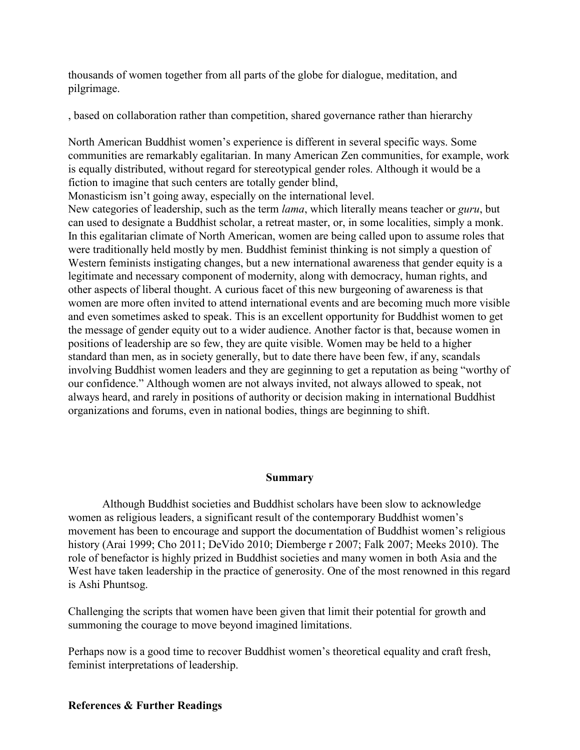thousands of women together from all parts of the globe for dialogue, meditation, and pilgrimage.

, based on collaboration rather than competition, shared governance rather than hierarchy

North American Buddhist women's experience is different in several specific ways. Some communities are remarkably egalitarian. In many American Zen communities, for example, work is equally distributed, without regard for stereotypical gender roles. Although it would be a fiction to imagine that such centers are totally gender blind,

Monasticism isn't going away, especially on the international level.

New categories of leadership, such as the term *lama*, which literally means teacher or *guru*, but can used to designate a Buddhist scholar, a retreat master, or, in some localities, simply a monk. In this egalitarian climate of North American, women are being called upon to assume roles that were traditionally held mostly by men. Buddhist feminist thinking is not simply a question of Western feminists instigating changes, but a new international awareness that gender equity is a legitimate and necessary component of modernity, along with democracy, human rights, and other aspects of liberal thought. A curious facet of this new burgeoning of awareness is that women are more often invited to attend international events and are becoming much more visible and even sometimes asked to speak. This is an excellent opportunity for Buddhist women to get the message of gender equity out to a wider audience. Another factor is that, because women in positions of leadership are so few, they are quite visible. Women may be held to a higher standard than men, as in society generally, but to date there have been few, if any, scandals involving Buddhist women leaders and they are geginning to get a reputation as being "worthy of our confidence." Although women are not always invited, not always allowed to speak, not always heard, and rarely in positions of authority or decision making in international Buddhist organizations and forums, even in national bodies, things are beginning to shift.

## **Summary**

Although Buddhist societies and Buddhist scholars have been slow to acknowledge women as religious leaders, a significant result of the contemporary Buddhist women's movement has been to encourage and support the documentation of Buddhist women's religious history (Arai 1999; Cho 2011; DeVido 2010; Diemberge r 2007; Falk 2007; Meeks 2010). The role of benefactor is highly prized in Buddhist societies and many women in both Asia and the West have taken leadership in the practice of generosity. One of the most renowned in this regard is Ashi Phuntsog.

Challenging the scripts that women have been given that limit their potential for growth and summoning the courage to move beyond imagined limitations.

Perhaps now is a good time to recover Buddhist women's theoretical equality and craft fresh, feminist interpretations of leadership.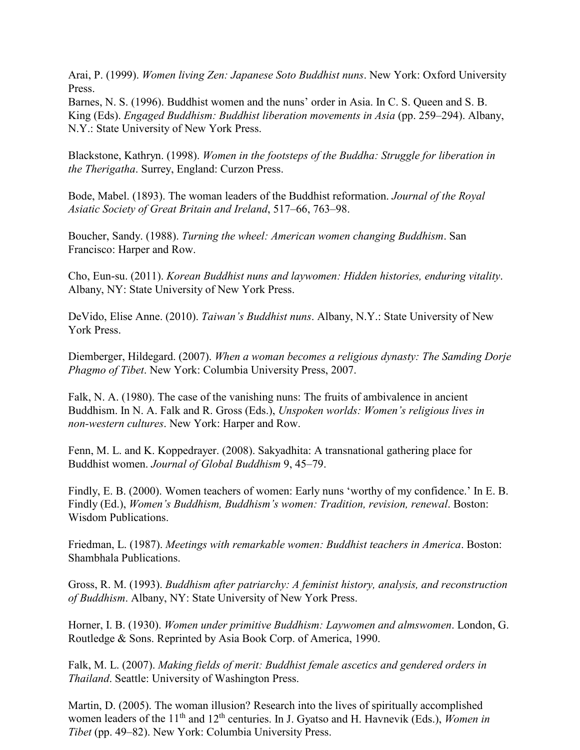Arai, P. (1999). *Women living Zen: Japanese Soto Buddhist nuns*. New York: Oxford University Press.

Barnes, N. S. (1996). Buddhist women and the nuns' order in Asia. In C. S. Queen and S. B. King (Eds). *Engaged Buddhism: Buddhist liberation movements in Asia* (pp. 259–294). Albany, N.Y.: State University of New York Press.

Blackstone, Kathryn. (1998). *Women in the footsteps of the Buddha: Struggle for liberation in the Therigatha*. Surrey, England: Curzon Press.

Bode, Mabel. (1893). The woman leaders of the Buddhist reformation. *Journal of the Royal Asiatic Society of Great Britain and Ireland*, 517–66, 763–98.

Boucher, Sandy. (1988). *Turning the wheel: American women changing Buddhism*. San Francisco: Harper and Row.

Cho, Eun-su. (2011). *Korean Buddhist nuns and laywomen: Hidden histories, enduring vitality*. Albany, NY: State University of New York Press.

DeVido, Elise Anne. (2010). *Taiwan's Buddhist nuns*. Albany, N.Y.: State University of New York Press.

Diemberger, Hildegard. (2007). *When a woman becomes a religious dynasty: The Samding Dorje Phagmo of Tibet*. New York: Columbia University Press, 2007.

Falk, N. A. (1980). The case of the vanishing nuns: The fruits of ambivalence in ancient Buddhism. In N. A. Falk and R. Gross (Eds.), *Unspoken worlds: Women's religious lives in non-western cultures*. New York: Harper and Row.

Fenn, M. L. and K. Koppedrayer. (2008). Sakyadhita: A transnational gathering place for Buddhist women. *Journal of Global Buddhism* 9, 45–79.

Findly, E. B. (2000). Women teachers of women: Early nuns 'worthy of my confidence.' In E. B. Findly (Ed.), *Women's Buddhism, Buddhism's women: Tradition, revision, renewal*. Boston: Wisdom Publications.

Friedman, L. (1987). *Meetings with remarkable women: Buddhist teachers in America*. Boston: Shambhala Publications.

Gross, R. M. (1993). *Buddhism after patriarchy: A feminist history, analysis, and reconstruction of Buddhism*. Albany, NY: State University of New York Press.

Horner, I. B. (1930). *Women under primitive Buddhism: Laywomen and almswomen*. London, G. Routledge & Sons. Reprinted by Asia Book Corp. of America, 1990.

Falk, M. L. (2007). *Making fields of merit: Buddhist female ascetics and gendered orders in Thailand*. Seattle: University of Washington Press.

Martin, D. (2005). The woman illusion? Research into the lives of spiritually accomplished women leaders of the 11<sup>th</sup> and 12<sup>th</sup> centuries. In J. Gyatso and H. Havnevik (Eds.), *Women in Tibet* (pp. 49–82). New York: Columbia University Press.